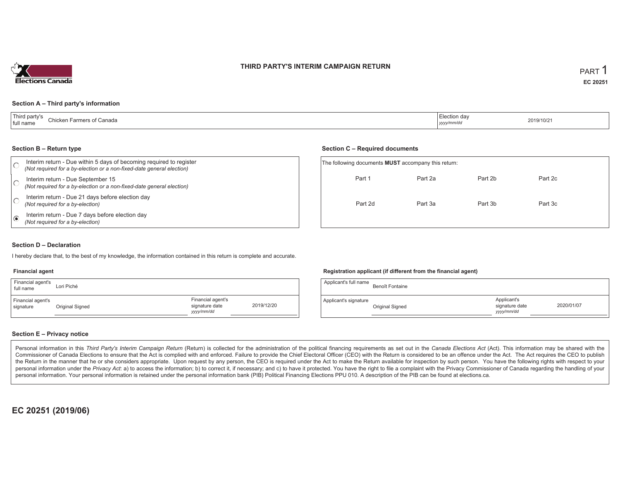#### **THIRD PARTY'S INTERIM CAMPAIGN RETURN**



#### **Section A – Third party's information**

| Third party's             | 'Election day |                                                 |
|---------------------------|---------------|-------------------------------------------------|
| Chicken Farmers of Canada |               | 2019/10/21                                      |
| full name                 | yyyy/mm/dd    | the contract of the contract of the contract of |

#### **Section B – Return type**

|   | Interim return - Due within 5 days of becoming required to register<br>(Not required for a by-election or a non-fixed-date general election) | The following documents <b>MUST</b> accompany this return: |         |         |         |  |
|---|----------------------------------------------------------------------------------------------------------------------------------------------|------------------------------------------------------------|---------|---------|---------|--|
|   | Interim return - Due September 15<br>(Not required for a by-election or a non-fixed-date general election)                                   | Part 1                                                     | Part 2a | Part 2b | Part 2c |  |
|   | Interim return - Due 21 days before election day<br>(Not required for a by-election)                                                         | Part 2d                                                    | Part 3a | Part 3b | Part 3c |  |
| € | Interim return - Due 7 days before election day<br>(Not required for a by-election)                                                          |                                                            |         |         |         |  |

#### **Section D – Declaration**

I hereby declare that, to the best of my knowledge, the information contained in this return is complete and accurate.

#### **Financial agent**

| Financial agent's<br>full name | Lori Piché      |                                                   |            |
|--------------------------------|-----------------|---------------------------------------------------|------------|
| Financial agent's<br>signature | Original Signed | Financial agent's<br>signature date<br>yyyy/mm/dd | 2019/12/20 |

#### **Registration applicant (if different from the financial agent)**

**Section C – Required documents**

| Applicant's full name | Benoît Fontaine |                                            |            |
|-----------------------|-----------------|--------------------------------------------|------------|
| Applicant's signature | Original Signed | Applicant's<br>signature date<br>yyy/mm/dd | 2020/01/07 |

#### **Section E – Privacy notice**

Personal information in this Third Party's Interim Campaign Return (Return) is collected for the administration of the political financing requirements as set out in the Canada Elections Act (Act). This information may be Commissioner of Canada Elections to ensure that the Act is complied with and enforced. Failure to provide the Chief Electoral Officer (CEO) with the Return is considered to be an offence under the Act. The Act requires the the Return in the manner that he or she considers appropriate. Upon request by any person, the CEO is required under the Act to make the Return available for inspection by such person. You have the following rights with re personal information under the Privacy Act: a) to access the information; b) to correct it, if necessary; and c) to have it protected. You have the right to file a complaint with the Privacy Commissioner of Canada regardin personal information. Your personal information is retained under the personal information bank (PIB) Political Financing Elections PPU 010. A description of the PIB can be found at elections.ca.

**EC 20251 (2019/06)**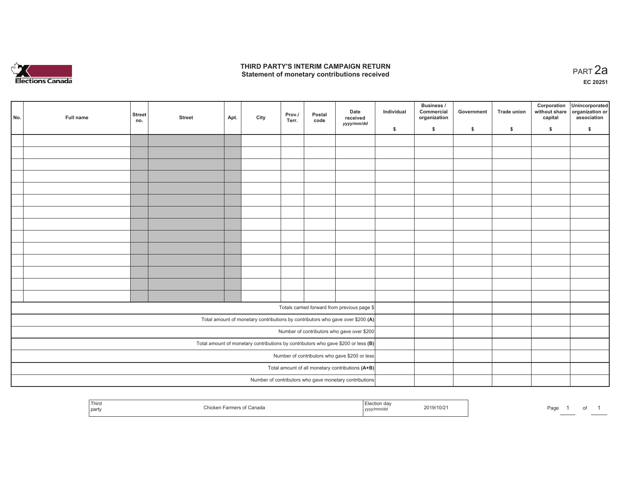

### **THIRD PARTY'S INTERIM CAMPAIGN RETURN**  THIRD PARTY'S INTERIM CAMPAIGN RETURN<br>Statement of monetary contributions received

| No. | Full name                                              | <b>Street</b><br>no. | <b>Street</b> | Apt. | City | Prov./<br>Terr. | Postal<br>code | Date<br>received<br>yyyy/mm/dd                                                      | Individual | <b>Business /</b><br>Commercial<br>organization | Government | <b>Trade union</b> | Corporation<br>capital | Unincorporated<br>without share organization or<br>association |
|-----|--------------------------------------------------------|----------------------|---------------|------|------|-----------------|----------------|-------------------------------------------------------------------------------------|------------|-------------------------------------------------|------------|--------------------|------------------------|----------------------------------------------------------------|
|     |                                                        |                      |               |      |      |                 |                |                                                                                     | \$         | \$                                              | \$         | \$                 | \$                     | \$                                                             |
|     |                                                        |                      |               |      |      |                 |                |                                                                                     |            |                                                 |            |                    |                        |                                                                |
|     |                                                        |                      |               |      |      |                 |                |                                                                                     |            |                                                 |            |                    |                        |                                                                |
|     |                                                        |                      |               |      |      |                 |                |                                                                                     |            |                                                 |            |                    |                        |                                                                |
|     |                                                        |                      |               |      |      |                 |                |                                                                                     |            |                                                 |            |                    |                        |                                                                |
|     |                                                        |                      |               |      |      |                 |                |                                                                                     |            |                                                 |            |                    |                        |                                                                |
|     |                                                        |                      |               |      |      |                 |                |                                                                                     |            |                                                 |            |                    |                        |                                                                |
|     |                                                        |                      |               |      |      |                 |                |                                                                                     |            |                                                 |            |                    |                        |                                                                |
|     |                                                        |                      |               |      |      |                 |                |                                                                                     |            |                                                 |            |                    |                        |                                                                |
|     |                                                        |                      |               |      |      |                 |                |                                                                                     |            |                                                 |            |                    |                        |                                                                |
|     |                                                        |                      |               |      |      |                 |                |                                                                                     |            |                                                 |            |                    |                        |                                                                |
|     |                                                        |                      |               |      |      |                 |                |                                                                                     |            |                                                 |            |                    |                        |                                                                |
|     |                                                        |                      |               |      |      |                 |                |                                                                                     |            |                                                 |            |                    |                        |                                                                |
|     |                                                        |                      |               |      |      |                 |                |                                                                                     |            |                                                 |            |                    |                        |                                                                |
|     |                                                        |                      |               |      |      |                 |                |                                                                                     |            |                                                 |            |                    |                        |                                                                |
|     |                                                        |                      |               |      |      |                 |                |                                                                                     |            |                                                 |            |                    |                        |                                                                |
|     |                                                        |                      |               |      |      |                 |                | Totals carried forward from previous page \$                                        |            |                                                 |            |                    |                        |                                                                |
|     |                                                        |                      |               |      |      |                 |                | Total amount of monetary contributions by contributors who gave over \$200 (A)      |            |                                                 |            |                    |                        |                                                                |
|     |                                                        |                      |               |      |      |                 |                | Number of contributors who gave over \$200                                          |            |                                                 |            |                    |                        |                                                                |
|     |                                                        |                      |               |      |      |                 |                | Total amount of monetary contributions by contributors who gave \$200 or less $(B)$ |            |                                                 |            |                    |                        |                                                                |
|     |                                                        |                      |               |      |      |                 |                | Number of contributors who gave \$200 or less                                       |            |                                                 |            |                    |                        |                                                                |
|     |                                                        |                      |               |      |      |                 |                | Total amount of all monetary contributions (A+B)                                    |            |                                                 |            |                    |                        |                                                                |
|     |                                                        |                      |               |      |      |                 |                |                                                                                     |            |                                                 |            |                    |                        |                                                                |
|     | Number of contributors who gave monetary contributions |                      |               |      |      |                 |                |                                                                                     |            |                                                 |            |                    |                        |                                                                |

| Third<br>Election day<br>2019/10/21<br><b>Farmers of Canada</b><br>∩hicken,<br>Page<br>yyyy/mm/dd<br>party |  |
|------------------------------------------------------------------------------------------------------------|--|
|------------------------------------------------------------------------------------------------------------|--|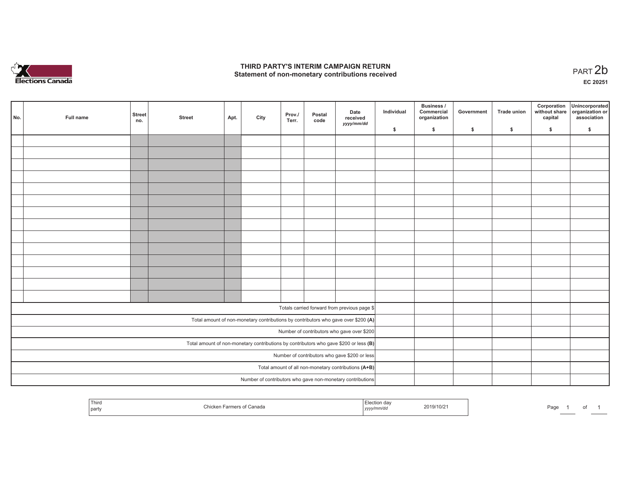

### **THIRD PARTY'S INTERIM CAMPAIGN RETURN**  THIRD PARTY'S INTERIM CAMPAIGN RETURN<br>Statement of non-monetary contributions received<br> **PART 2**b

**EC 20251**

| No. | Full name | <b>Street</b><br>no. | <b>Street</b> | Apt. | City | Prov./<br>Terr. | Postal<br>code | Date<br>received<br>yyyy/mm/dd                                                          | Individual | Business /<br>Commercial<br>organization | Government | <b>Trade union</b> | Corporation<br>without share<br>capital | Unincorporated<br>organization or<br>association |
|-----|-----------|----------------------|---------------|------|------|-----------------|----------------|-----------------------------------------------------------------------------------------|------------|------------------------------------------|------------|--------------------|-----------------------------------------|--------------------------------------------------|
|     |           |                      |               |      |      |                 |                |                                                                                         | \$         | \$                                       | \$         | \$                 | \$                                      | \$                                               |
|     |           |                      |               |      |      |                 |                |                                                                                         |            |                                          |            |                    |                                         |                                                  |
|     |           |                      |               |      |      |                 |                |                                                                                         |            |                                          |            |                    |                                         |                                                  |
|     |           |                      |               |      |      |                 |                |                                                                                         |            |                                          |            |                    |                                         |                                                  |
|     |           |                      |               |      |      |                 |                |                                                                                         |            |                                          |            |                    |                                         |                                                  |
|     |           |                      |               |      |      |                 |                |                                                                                         |            |                                          |            |                    |                                         |                                                  |
|     |           |                      |               |      |      |                 |                |                                                                                         |            |                                          |            |                    |                                         |                                                  |
|     |           |                      |               |      |      |                 |                |                                                                                         |            |                                          |            |                    |                                         |                                                  |
|     |           |                      |               |      |      |                 |                |                                                                                         |            |                                          |            |                    |                                         |                                                  |
|     |           |                      |               |      |      |                 |                |                                                                                         |            |                                          |            |                    |                                         |                                                  |
|     |           |                      |               |      |      |                 |                |                                                                                         |            |                                          |            |                    |                                         |                                                  |
|     |           |                      |               |      |      |                 |                |                                                                                         |            |                                          |            |                    |                                         |                                                  |
|     |           |                      |               |      |      |                 |                |                                                                                         |            |                                          |            |                    |                                         |                                                  |
|     |           |                      |               |      |      |                 |                |                                                                                         |            |                                          |            |                    |                                         |                                                  |
|     |           |                      |               |      |      |                 |                |                                                                                         |            |                                          |            |                    |                                         |                                                  |
|     |           |                      |               |      |      |                 |                | Totals carried forward from previous page \$                                            |            |                                          |            |                    |                                         |                                                  |
|     |           |                      |               |      |      |                 |                | Total amount of non-monetary contributions by contributors who gave over \$200 (A)      |            |                                          |            |                    |                                         |                                                  |
|     |           |                      |               |      |      |                 |                | Number of contributors who gave over \$200                                              |            |                                          |            |                    |                                         |                                                  |
|     |           |                      |               |      |      |                 |                | Total amount of non-monetary contributions by contributors who gave \$200 or less $(B)$ |            |                                          |            |                    |                                         |                                                  |
|     |           |                      |               |      |      |                 |                | Number of contributors who gave \$200 or less                                           |            |                                          |            |                    |                                         |                                                  |
|     |           |                      |               |      |      |                 |                | Total amount of all non-monetary contributions $(A+B)$                                  |            |                                          |            |                    |                                         |                                                  |
|     |           |                      |               |      |      |                 |                | Number of contributors who gave non-monetary contributions                              |            |                                          |            |                    |                                         |                                                  |

| $-1$<br>l nird<br>:cuon uav<br>2019/10/21<br>া Canada<br>  party<br>,,,, | Page |
|--------------------------------------------------------------------------|------|
|--------------------------------------------------------------------------|------|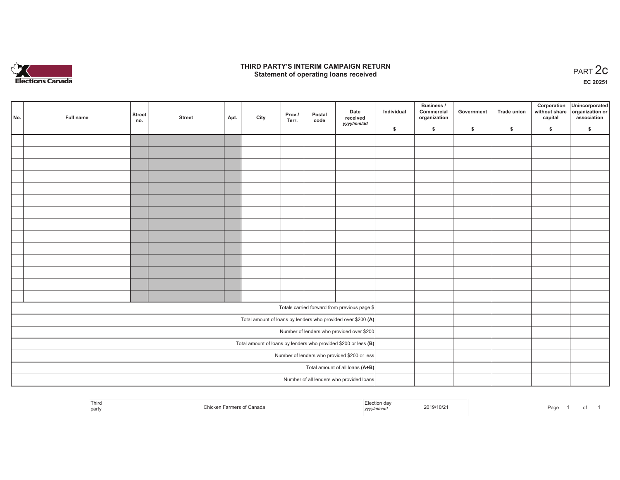

### **THIRD PARTY'S INTERIM CAMPAIGN RETURN**  RD PARTY'S INTERIM CAMPAIGN RETURN<br>Statement of operating loans received **PART 2c**

**EC 20251**

| No. | Full name | <b>Street</b><br>no. | <b>Street</b> | Apt. | City | Prov./<br>Terr. | Postal<br>code | Date<br>received<br>yyyy/mm/dd                                    | Individual | Business /<br>Commercial<br>organization | Government | Trade union   | Corporation | Unincorporated<br>without share organization or<br>capital association |
|-----|-----------|----------------------|---------------|------|------|-----------------|----------------|-------------------------------------------------------------------|------------|------------------------------------------|------------|---------------|-------------|------------------------------------------------------------------------|
|     |           |                      |               |      |      |                 |                |                                                                   | \$         | $\frac{1}{2}$                            | \$         | $\frac{1}{2}$ | \$          | \$                                                                     |
|     |           |                      |               |      |      |                 |                |                                                                   |            |                                          |            |               |             |                                                                        |
|     |           |                      |               |      |      |                 |                |                                                                   |            |                                          |            |               |             |                                                                        |
|     |           |                      |               |      |      |                 |                |                                                                   |            |                                          |            |               |             |                                                                        |
|     |           |                      |               |      |      |                 |                |                                                                   |            |                                          |            |               |             |                                                                        |
|     |           |                      |               |      |      |                 |                |                                                                   |            |                                          |            |               |             |                                                                        |
|     |           |                      |               |      |      |                 |                |                                                                   |            |                                          |            |               |             |                                                                        |
|     |           |                      |               |      |      |                 |                |                                                                   |            |                                          |            |               |             |                                                                        |
|     |           |                      |               |      |      |                 |                |                                                                   |            |                                          |            |               |             |                                                                        |
|     |           |                      |               |      |      |                 |                |                                                                   |            |                                          |            |               |             |                                                                        |
|     |           |                      |               |      |      |                 |                |                                                                   |            |                                          |            |               |             |                                                                        |
|     |           |                      |               |      |      |                 |                |                                                                   |            |                                          |            |               |             |                                                                        |
|     |           |                      |               |      |      |                 |                |                                                                   |            |                                          |            |               |             |                                                                        |
|     |           |                      |               |      |      |                 |                |                                                                   |            |                                          |            |               |             |                                                                        |
|     |           |                      |               |      |      |                 |                |                                                                   |            |                                          |            |               |             |                                                                        |
|     |           |                      |               |      |      |                 |                |                                                                   |            |                                          |            |               |             |                                                                        |
|     |           |                      |               |      |      |                 |                | Totals carried forward from previous page \$                      |            |                                          |            |               |             |                                                                        |
|     |           |                      |               |      |      |                 |                | Total amount of loans by lenders who provided over \$200 (A)      |            |                                          |            |               |             |                                                                        |
|     |           |                      |               |      |      |                 |                | Number of lenders who provided over \$200                         |            |                                          |            |               |             |                                                                        |
|     |           |                      |               |      |      |                 |                | Total amount of loans by lenders who provided \$200 or less $(B)$ |            |                                          |            |               |             |                                                                        |
|     |           |                      |               |      |      |                 |                | Number of lenders who provided \$200 or less                      |            |                                          |            |               |             |                                                                        |
|     |           |                      |               |      |      |                 |                | Total amount of all loans (A+B)                                   |            |                                          |            |               |             |                                                                        |
|     |           |                      |               |      |      |                 |                | Number of all lenders who provided loans                          |            |                                          |            |               |             |                                                                        |
|     |           |                      |               |      |      |                 |                |                                                                   |            |                                          |            |               |             |                                                                        |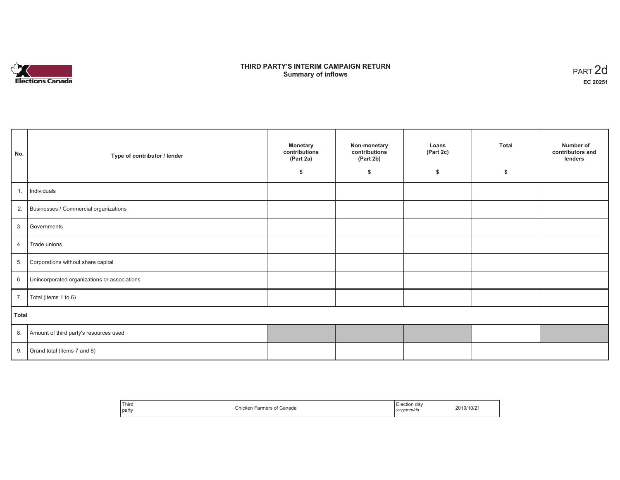

### **THIRD PARTY'S INTERIM CAMPAIGN RETURN SUMMARY STATE SUMPAIGN RETURN SUMMARY SUMMARY OF ART 2d**<br> **Summary of inflows**

| No.   | Type of contributor / lender                    | <b>Monetary</b><br>contributions<br>(Part 2a)<br>S. | Non-monetary<br>contributions<br>(Part 2b)<br>\$ | Loans<br>(Part 2c)<br>\$ | <b>Total</b><br>\$ | Number of<br>contributors and<br>lenders |
|-------|-------------------------------------------------|-----------------------------------------------------|--------------------------------------------------|--------------------------|--------------------|------------------------------------------|
| 1.    | Individuals                                     |                                                     |                                                  |                          |                    |                                          |
|       | 2. Businesses / Commercial organizations        |                                                     |                                                  |                          |                    |                                          |
| 3.    | Governments                                     |                                                     |                                                  |                          |                    |                                          |
| 4.    | Trade unions                                    |                                                     |                                                  |                          |                    |                                          |
| 5.    | Corporations without share capital              |                                                     |                                                  |                          |                    |                                          |
|       | 6. Unincorporated organizations or associations |                                                     |                                                  |                          |                    |                                          |
| 7.    | Total (items 1 to 6)                            |                                                     |                                                  |                          |                    |                                          |
| Total |                                                 |                                                     |                                                  |                          |                    |                                          |
|       | 8. Amount of third party's resources used       |                                                     |                                                  |                          |                    |                                          |
|       | 9. Grand total (items $7$ and $8$ )             |                                                     |                                                  |                          |                    |                                          |

| ' Third<br>Canada<br>∴hicken.<br>Farmers of t<br>party | ∟lection da∨<br>2019/10/21<br>yyyy/mm/dd<br>,,,, |
|--------------------------------------------------------|--------------------------------------------------|
|--------------------------------------------------------|--------------------------------------------------|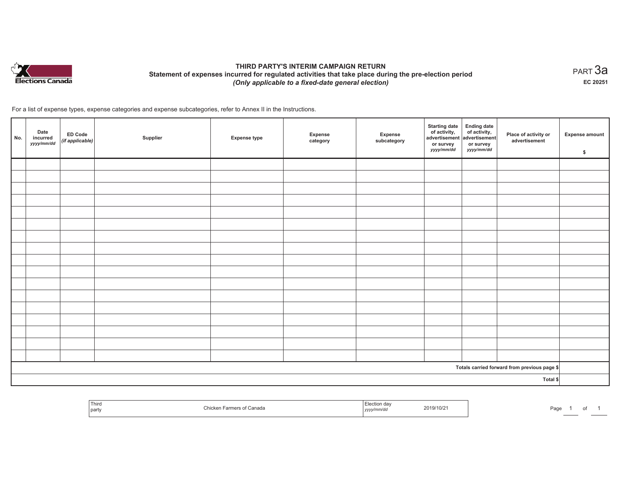

# **THIRD PARTY'S INTERIM CAMPAIGN RETURN Statement of expenses incurred for regulated activities that take place during the pre-election period**  *(Only applicable to a fixed-date general election)*

 $_{\sf PART}$ 3a **EC 20251**

For a list of expense types, expense categories and expense subcategories, refer to Annex II in the Instructions.

| No. | Date<br>incurred<br>yyyy/mm/dd | ED Code<br>(if applicable) | Supplier | <b>Expense type</b> | Expense<br>category | Expense<br>subcategory | <b>Starting date</b><br>of activity, of activity,<br>advertisement advertisement<br>or survey<br>yyyy/mm/dd | <b>Ending date</b><br>or survey<br>yyyy/mm/dd | Place of activity or<br>advertisement        | <b>Expense amount</b><br>\$ |
|-----|--------------------------------|----------------------------|----------|---------------------|---------------------|------------------------|-------------------------------------------------------------------------------------------------------------|-----------------------------------------------|----------------------------------------------|-----------------------------|
|     |                                |                            |          |                     |                     |                        |                                                                                                             |                                               |                                              |                             |
|     |                                |                            |          |                     |                     |                        |                                                                                                             |                                               |                                              |                             |
|     |                                |                            |          |                     |                     |                        |                                                                                                             |                                               |                                              |                             |
|     |                                |                            |          |                     |                     |                        |                                                                                                             |                                               |                                              |                             |
|     |                                |                            |          |                     |                     |                        |                                                                                                             |                                               |                                              |                             |
|     |                                |                            |          |                     |                     |                        |                                                                                                             |                                               |                                              |                             |
|     |                                |                            |          |                     |                     |                        |                                                                                                             |                                               |                                              |                             |
|     |                                |                            |          |                     |                     |                        |                                                                                                             |                                               |                                              |                             |
|     |                                |                            |          |                     |                     |                        |                                                                                                             |                                               |                                              |                             |
|     |                                |                            |          |                     |                     |                        |                                                                                                             |                                               |                                              |                             |
|     |                                |                            |          |                     |                     |                        |                                                                                                             |                                               |                                              |                             |
|     |                                |                            |          |                     |                     |                        |                                                                                                             |                                               |                                              |                             |
|     |                                |                            |          |                     |                     |                        |                                                                                                             |                                               |                                              |                             |
|     |                                |                            |          |                     |                     |                        |                                                                                                             |                                               |                                              |                             |
|     |                                |                            |          |                     |                     |                        |                                                                                                             |                                               |                                              |                             |
|     |                                |                            |          |                     |                     |                        |                                                                                                             |                                               |                                              |                             |
|     |                                |                            |          |                     |                     |                        |                                                                                                             |                                               |                                              |                             |
|     |                                |                            |          |                     |                     |                        |                                                                                                             |                                               | Totals carried forward from previous page \$ |                             |
|     |                                |                            |          |                     |                     |                        |                                                                                                             |                                               | Total \$                                     |                             |

| Third<br>part | Canada<br>~armer:<br>Chicker<br>ашсьм | aa<br>nm/ac<br>,,,,, | 2019/10/2 | Paα∈ |  |
|---------------|---------------------------------------|----------------------|-----------|------|--|
|               |                                       |                      |           |      |  |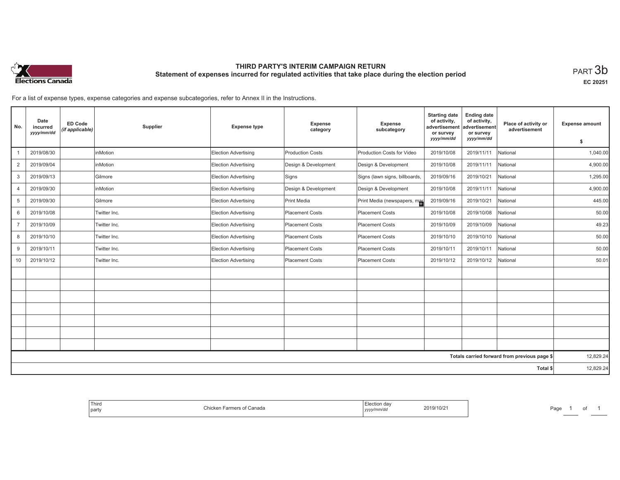

## **THIRD PARTY'S INTERIM CAMPAIGN RETURN Statement of expenses incurred for regulated activities that take place during the election period**<br>PART  $3\mathsf{b}$

**EC 20251**

For a list of expense types, expense categories and expense subcategories, refer to Annex II in the Instructions.

| No.                                          | Date<br>incurred<br>yyyy/mm/dd | <b>ED Code</b><br>(if applicable) | Supplier     | <b>Expense type</b>  | Expense<br>category     | Expense<br>subcategory         | <b>Starting date</b><br>of activity,<br>advertisement<br>or survey<br>yyyy/mm/dd | <b>Ending date</b><br>of activity,<br>advertisement<br>or survey | Place of activity or<br>advertisement | <b>Expense amount</b> |
|----------------------------------------------|--------------------------------|-----------------------------------|--------------|----------------------|-------------------------|--------------------------------|----------------------------------------------------------------------------------|------------------------------------------------------------------|---------------------------------------|-----------------------|
|                                              |                                |                                   |              |                      |                         |                                |                                                                                  | yyyy/mm/dd                                                       |                                       | \$                    |
|                                              | 2019/08/30                     |                                   | inMotion     | Election Advertising | <b>Production Costs</b> | Production Costs for Video     | 2019/10/08                                                                       | 2019/11/11                                                       | National                              | 1,040.00              |
| $\overline{2}$                               | 2019/09/04                     |                                   | inMotion     | Election Advertising | Design & Development    | Design & Development           | 2019/10/08                                                                       | 2019/11/11                                                       | National                              | 4,900.00              |
| 3                                            | 2019/09/13                     |                                   | Gilmore      | Election Advertising | Signs                   | Signs (lawn signs, billboards, | 2019/09/16                                                                       | 2019/10/21                                                       | National                              | 1,295.00              |
| $\overline{4}$                               | 2019/09/30                     |                                   | inMotion     | Election Advertising | Design & Development    | Design & Development           | 2019/10/08                                                                       | 2019/11/11                                                       | National                              | 4,900.00              |
| 5                                            | 2019/09/30                     |                                   | Gilmore      | Election Advertising | Print Media             | Print Media (newspapers, mag   | 2019/09/16                                                                       | 2019/10/21                                                       | National                              | 445.00                |
| 6                                            | 2019/10/08                     |                                   | Twitter Inc. | Election Advertising | Placement Costs         | Placement Costs                | 2019/10/08                                                                       | 2019/10/08                                                       | National                              | 50.00                 |
| $\overline{7}$                               | 2019/10/09                     |                                   | Twitter Inc. | Election Advertising | Placement Costs         | Placement Costs                | 2019/10/09                                                                       | 2019/10/09                                                       | National                              | 49.23                 |
| 8                                            | 2019/10/10                     |                                   | Twitter Inc. | Election Advertising | Placement Costs         | Placement Costs                | 2019/10/10                                                                       | 2019/10/10                                                       | National                              | 50.00                 |
| 9                                            | 2019/10/11                     |                                   | Twitter Inc. | Election Advertising | Placement Costs         | Placement Costs                | 2019/10/11                                                                       | 2019/10/11                                                       | National                              | 50.00                 |
| 10                                           | 2019/10/12                     |                                   | Twitter Inc. | Election Advertising | Placement Costs         | Placement Costs                | 2019/10/12                                                                       | 2019/10/12                                                       | National                              | 50.01                 |
|                                              |                                |                                   |              |                      |                         |                                |                                                                                  |                                                                  |                                       |                       |
|                                              |                                |                                   |              |                      |                         |                                |                                                                                  |                                                                  |                                       |                       |
|                                              |                                |                                   |              |                      |                         |                                |                                                                                  |                                                                  |                                       |                       |
|                                              |                                |                                   |              |                      |                         |                                |                                                                                  |                                                                  |                                       |                       |
|                                              |                                |                                   |              |                      |                         |                                |                                                                                  |                                                                  |                                       |                       |
|                                              |                                |                                   |              |                      |                         |                                |                                                                                  |                                                                  |                                       |                       |
|                                              |                                |                                   |              |                      |                         |                                |                                                                                  |                                                                  |                                       |                       |
| Totals carried forward from previous page \$ |                                |                                   |              |                      |                         |                                | 12,829.24                                                                        |                                                                  |                                       |                       |
| Total \$                                     |                                |                                   |              |                      |                         | 12,829.24                      |                                                                                  |                                                                  |                                       |                       |

| Thira<br>  party | Farmers of Canada<br>Chicken | Election day<br>2019/10/21<br>, yyyy/mm/dd | Page |
|------------------|------------------------------|--------------------------------------------|------|
|------------------|------------------------------|--------------------------------------------|------|